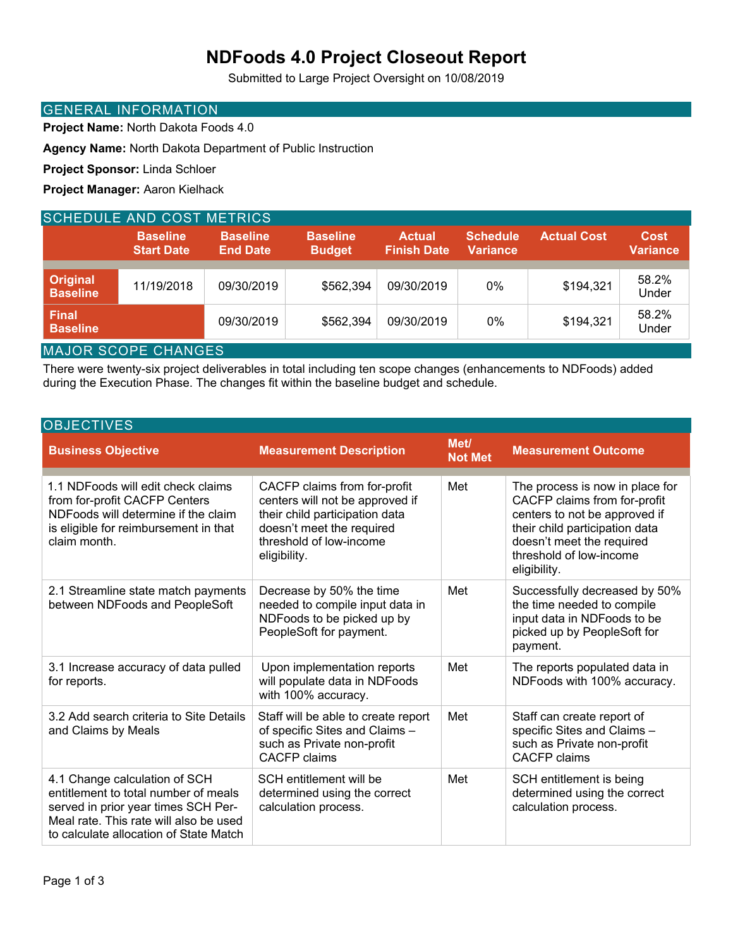## **NDFoods 4.0 Project Closeout Report**

Submitted to Large Project Oversight on 10/08/2019

#### GENERAL INFORMATION

**Project Name:** North Dakota Foods 4.0

**Agency Name:** North Dakota Department of Public Instruction

**Project Sponsor:** Linda Schloer

**Project Manager:** Aaron Kielhack

| <b>SCHEDULE AND COST METRICS</b>   |                                      |                                    |                                  |                                     |                                    |                    |                                |  |
|------------------------------------|--------------------------------------|------------------------------------|----------------------------------|-------------------------------------|------------------------------------|--------------------|--------------------------------|--|
|                                    | <b>Baseline</b><br><b>Start Date</b> | <b>Baseline</b><br><b>End Date</b> | <b>Baseline</b><br><b>Budget</b> | <b>Actual</b><br><b>Finish Date</b> | <b>Schedule</b><br><b>Variance</b> | <b>Actual Cost</b> | <b>Cost</b><br><b>Variance</b> |  |
|                                    |                                      |                                    |                                  |                                     |                                    |                    |                                |  |
| <b>Original</b><br><b>Baseline</b> | 11/19/2018                           | 09/30/2019                         | \$562,394                        | 09/30/2019                          | 0%                                 | \$194,321          | 58.2%<br>Under                 |  |
| <b>Final</b><br><b>Baseline</b>    |                                      | 09/30/2019                         | \$562,394                        | 09/30/2019                          | 0%                                 | \$194,321          | 58.2%<br>Under                 |  |
| MAIOD COODE CUANCES                |                                      |                                    |                                  |                                     |                                    |                    |                                |  |

MAJOR SCOPE CHANGES

There were twenty-six project deliverables in total including ten scope changes (enhancements to NDFoods) added during the Execution Phase. The changes fit within the baseline budget and schedule.

| <b>OBJECTIVES</b>                                                                                                                                                                                |                                                                                                                                                                           |                        |                                                                                                                                                                                                            |  |  |  |  |
|--------------------------------------------------------------------------------------------------------------------------------------------------------------------------------------------------|---------------------------------------------------------------------------------------------------------------------------------------------------------------------------|------------------------|------------------------------------------------------------------------------------------------------------------------------------------------------------------------------------------------------------|--|--|--|--|
| <b>Business Objective</b>                                                                                                                                                                        | <b>Measurement Description</b>                                                                                                                                            | Met/<br><b>Not Met</b> | <b>Measurement Outcome</b>                                                                                                                                                                                 |  |  |  |  |
| 1.1 NDFoods will edit check claims<br>from for-profit CACFP Centers<br>NDFoods will determine if the claim<br>is eligible for reimbursement in that<br>claim month.                              | CACFP claims from for-profit<br>centers will not be approved if<br>their child participation data<br>doesn't meet the required<br>threshold of low-income<br>eligibility. | Met                    | The process is now in place for<br>CACFP claims from for-profit<br>centers to not be approved if<br>their child participation data<br>doesn't meet the required<br>threshold of low-income<br>eligibility. |  |  |  |  |
| 2.1 Streamline state match payments<br>between NDFoods and PeopleSoft                                                                                                                            | Decrease by 50% the time<br>needed to compile input data in<br>NDFoods to be picked up by<br>PeopleSoft for payment.                                                      | Met                    | Successfully decreased by 50%<br>the time needed to compile<br>input data in NDFoods to be<br>picked up by PeopleSoft for<br>payment.                                                                      |  |  |  |  |
| 3.1 Increase accuracy of data pulled<br>for reports.                                                                                                                                             | Upon implementation reports<br>will populate data in NDFoods<br>with 100% accuracy.                                                                                       | Met                    | The reports populated data in<br>NDFoods with 100% accuracy.                                                                                                                                               |  |  |  |  |
| 3.2 Add search criteria to Site Details<br>and Claims by Meals                                                                                                                                   | Staff will be able to create report<br>of specific Sites and Claims -<br>such as Private non-profit<br><b>CACFP</b> claims                                                | Met                    | Staff can create report of<br>specific Sites and Claims -<br>such as Private non-profit<br><b>CACFP</b> claims                                                                                             |  |  |  |  |
| 4.1 Change calculation of SCH<br>entitlement to total number of meals<br>served in prior year times SCH Per-<br>Meal rate. This rate will also be used<br>to calculate allocation of State Match | SCH entitlement will be<br>determined using the correct<br>calculation process.                                                                                           | Met                    | SCH entitlement is being<br>determined using the correct<br>calculation process.                                                                                                                           |  |  |  |  |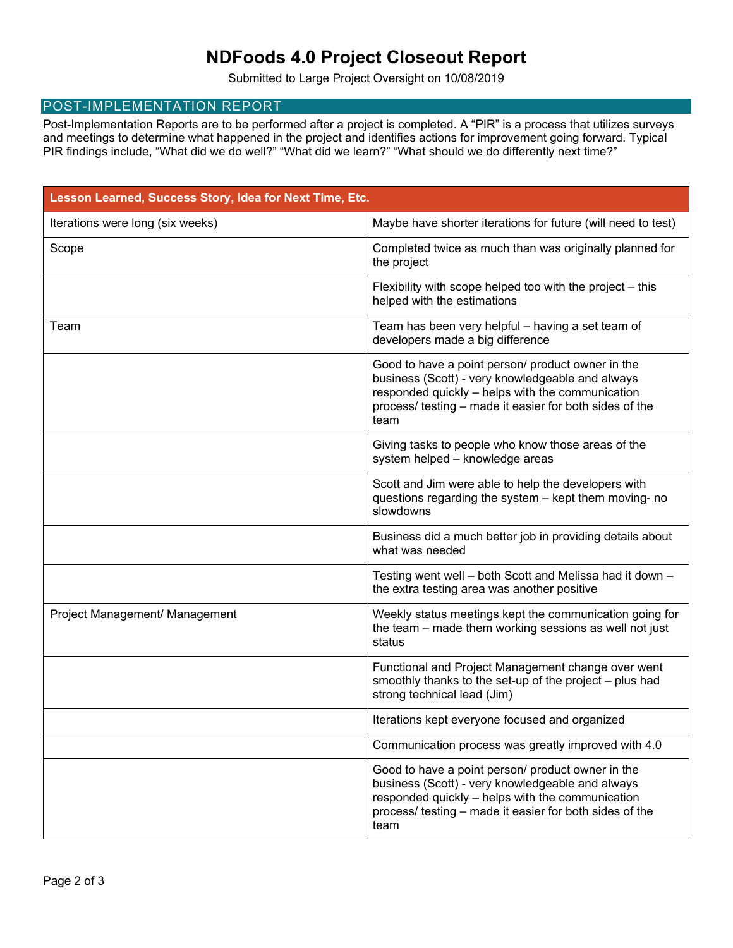## **NDFoods 4.0 Project Closeout Report**

Submitted to Large Project Oversight on 10/08/2019

#### POST-IMPLEMENTATION REPORT

Post-Implementation Reports are to be performed after a project is completed. A "PIR" is a process that utilizes surveys and meetings to determine what happened in the project and identifies actions for improvement going forward. Typical PIR findings include, "What did we do well?" "What did we learn?" "What should we do differently next time?"

| Lesson Learned, Success Story, Idea for Next Time, Etc. |                                                                                                                                                                                                                              |  |  |  |  |
|---------------------------------------------------------|------------------------------------------------------------------------------------------------------------------------------------------------------------------------------------------------------------------------------|--|--|--|--|
| Iterations were long (six weeks)                        | Maybe have shorter iterations for future (will need to test)                                                                                                                                                                 |  |  |  |  |
| Scope                                                   | Completed twice as much than was originally planned for<br>the project                                                                                                                                                       |  |  |  |  |
|                                                         | Flexibility with scope helped too with the project - this<br>helped with the estimations                                                                                                                                     |  |  |  |  |
| Team                                                    | Team has been very helpful - having a set team of<br>developers made a big difference                                                                                                                                        |  |  |  |  |
|                                                         | Good to have a point person/ product owner in the<br>business (Scott) - very knowledgeable and always<br>responded quickly - helps with the communication<br>process/ testing - made it easier for both sides of the<br>team |  |  |  |  |
|                                                         | Giving tasks to people who know those areas of the<br>system helped - knowledge areas                                                                                                                                        |  |  |  |  |
|                                                         | Scott and Jim were able to help the developers with<br>questions regarding the system - kept them moving- no<br>slowdowns                                                                                                    |  |  |  |  |
|                                                         | Business did a much better job in providing details about<br>what was needed                                                                                                                                                 |  |  |  |  |
|                                                         | Testing went well - both Scott and Melissa had it down -<br>the extra testing area was another positive                                                                                                                      |  |  |  |  |
| Project Management/ Management                          | Weekly status meetings kept the communication going for<br>the team – made them working sessions as well not just<br>status                                                                                                  |  |  |  |  |
|                                                         | Functional and Project Management change over went<br>smoothly thanks to the set-up of the project - plus had<br>strong technical lead (Jim)                                                                                 |  |  |  |  |
|                                                         | Iterations kept everyone focused and organized                                                                                                                                                                               |  |  |  |  |
|                                                         | Communication process was greatly improved with 4.0                                                                                                                                                                          |  |  |  |  |
|                                                         | Good to have a point person/ product owner in the<br>business (Scott) - very knowledgeable and always<br>responded quickly - helps with the communication<br>process/ testing – made it easier for both sides of the<br>team |  |  |  |  |